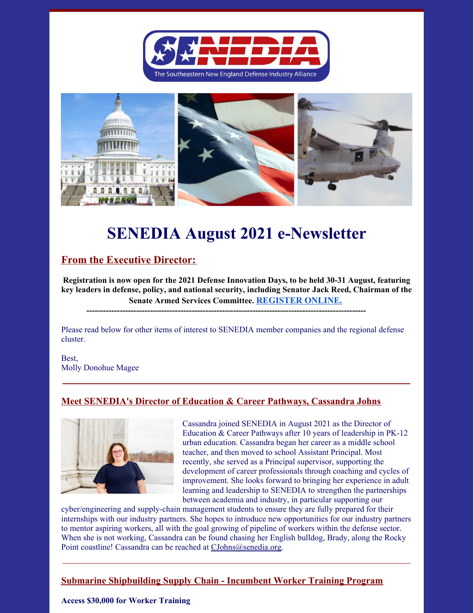



# **SENEDIA August 2021 e-Newsletter**

## **From the Executive Director:**

**Registration is now open for the 2021 Defense Innovation Days, to be held 30-31 August, featuring key leaders in defense, policy, and national security, including Senator Jack Reed, Chairman of the Senate Armed Services Committee. REGISTER ONLINE.**

**-----------------------------------------------------------------------------------------------------**

Please read below for other items of interest to SENEDIA member companies and the regional defense cluster.

Best, Molly Donohue Magee

### **Meet SENEDIA's Director of Education & Career Pathways, Cassandra Johns**



Cassandra joined SENEDIA in August 2021 as the Director of Education & Career Pathways after 10 years of leadership in PK-12 urban education. Cassandra began her career as a middle school teacher, and then moved to school Assistant Principal. Most recently, she served as a Principal supervisor, supporting the development of career professionals through coaching and cycles of improvement. She looks forward to bringing her experience in adult learning and leadership to SENEDIA to strengthen the partnerships between academia and industry, in particular supporting our

cyber/engineering and supply-chain management students to ensure they are fully prepared for their internships with our industry partners. She hopes to introduce new opportunities for our industry partners to mentor aspiring workers, all with the goal growing of pipeline of workers within the defense sector. When she is not working, Cassandra can be found chasing her English bulldog, Brady, along the Rocky Point coastline! Cassandra can be reached at CJohns@senedia.org.

### **Submarine Shipbuilding Supply Chain - Incumbent Worker Training Program**

#### **Access \$30,000 for Worker Training**